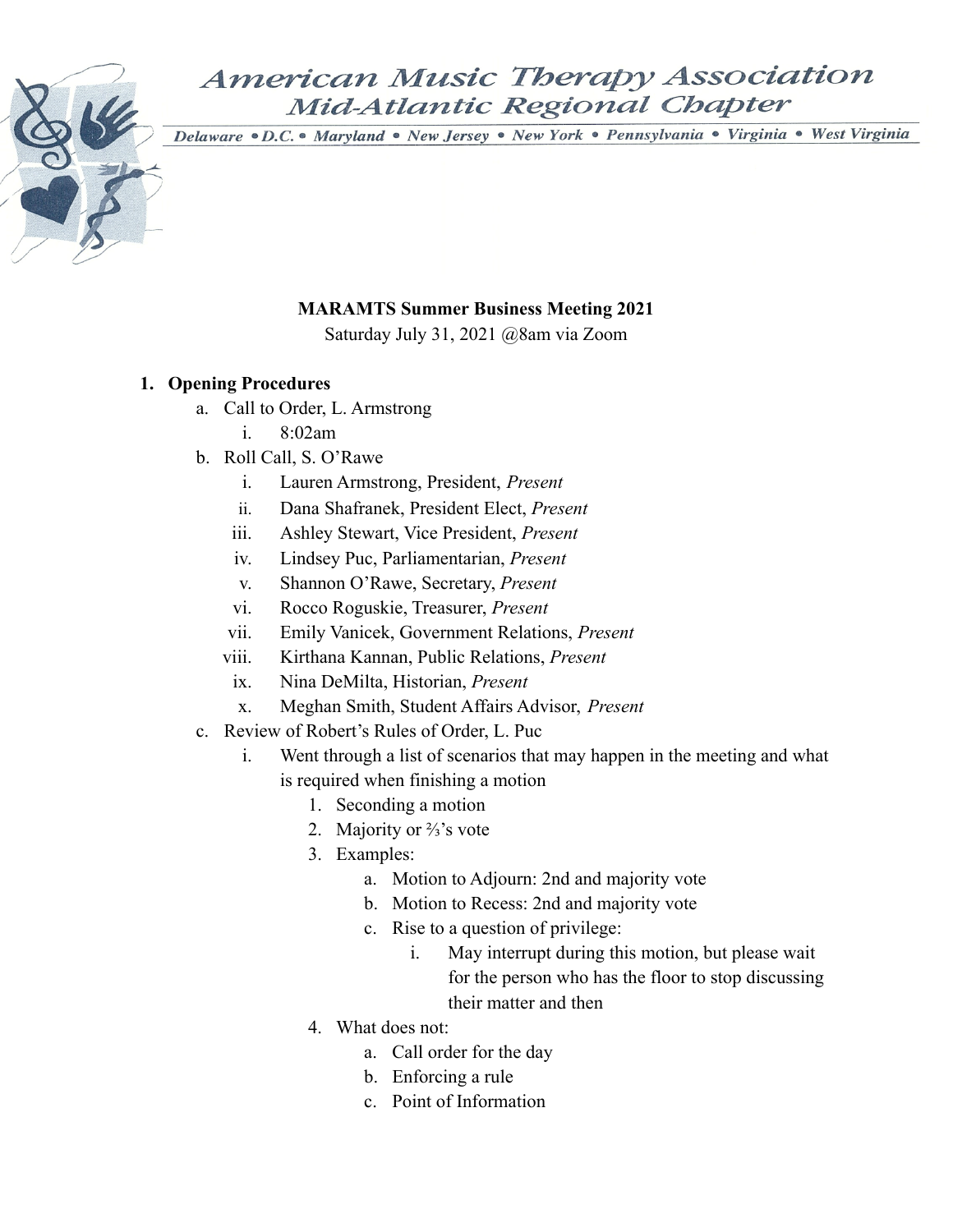Delaware · D.C. • Maryland · New Jersey · New York · Pennsylvania · Virginia · West Virginia

## **MARAMTS Summer Business Meeting 2021**

Saturday July 31, 2021 @8am via Zoom

## **1. Opening Procedures**

- a. Call to Order, L. Armstrong
	- i.  $8.02am$
- b. Roll Call, S. O'Rawe
	- i. Lauren Armstrong, President, *Present*
	- ii. Dana Shafranek, President Elect, *Present*
	- iii. Ashley Stewart, Vice President, *Present*
	- iv. Lindsey Puc, Parliamentarian, *Present*
	- v. Shannon O'Rawe, Secretary, *Present*
	- vi. Rocco Roguskie, Treasurer, *Present*
	- vii. Emily Vanicek, Government Relations, *Present*
	- viii. Kirthana Kannan, Public Relations, *Present*
	- ix. Nina DeMilta, Historian, *Present*
	- x. Meghan Smith, Student Affairs Advisor, *Present*
- c. Review of Robert's Rules of Order, L. Puc
	- i. Went through a list of scenarios that may happen in the meeting and what is required when finishing a motion
		- 1. Seconding a motion
		- 2. Majority or <sup>2</sup>/<sub>3</sub>'s vote
		- 3. Examples:
			- a. Motion to Adjourn: 2nd and majority vote
			- b. Motion to Recess: 2nd and majority vote
			- c. Rise to a question of privilege:
				- i. May interrupt during this motion, but please wait for the person who has the floor to stop discussing their matter and then
		- 4. What does not:
			- a. Call order for the day
			- b. Enforcing a rule
			- c. Point of Information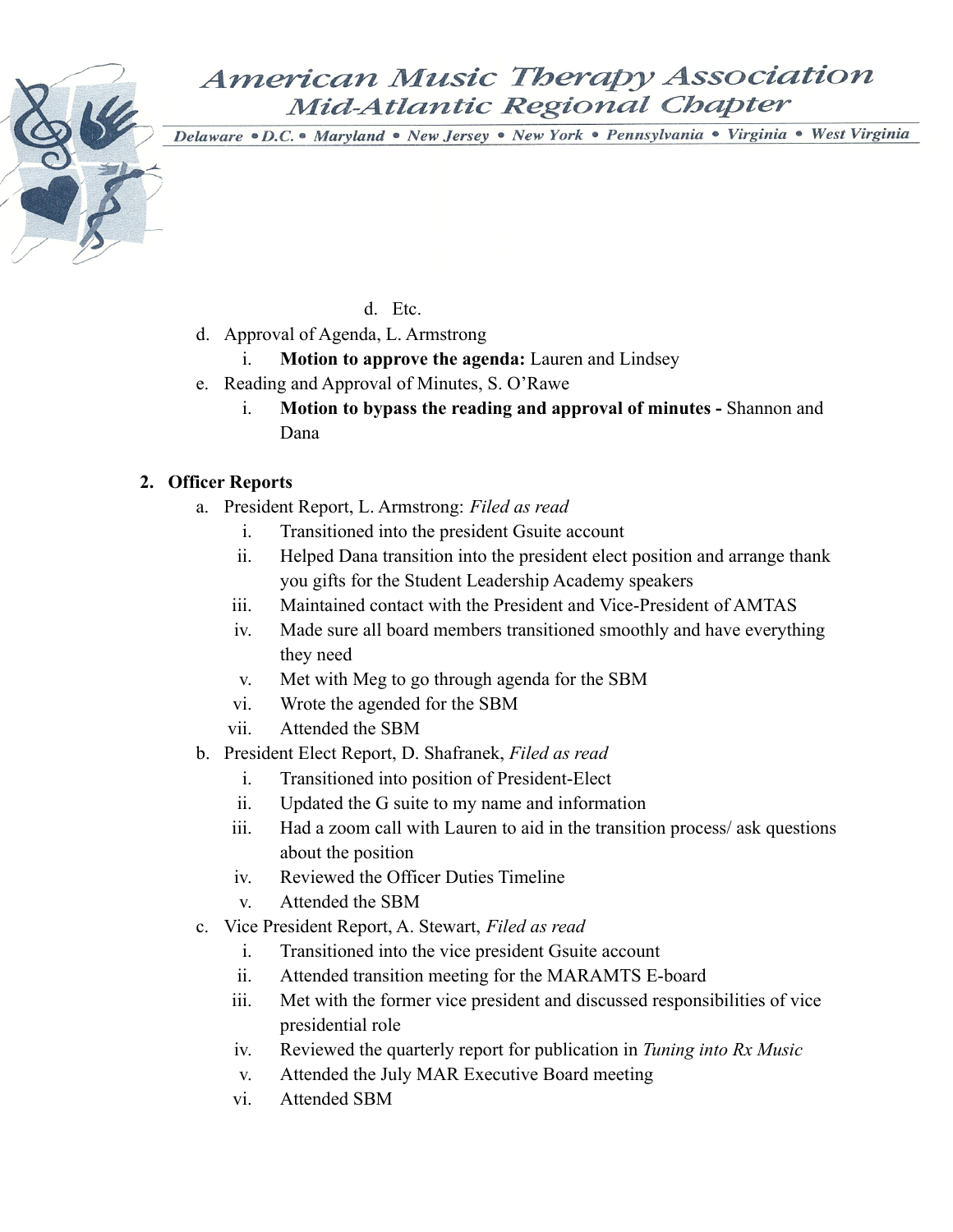Delaware · D.C. • Maryland · New Jersey · New York · Pennsylvania · Virginia · West Virginia

d. Etc.

- d. Approval of Agenda, L. Armstrong
	- i. **Motion to approve the agenda:** Lauren and Lindsey
- e. Reading and Approval of Minutes, S. O'Rawe
	- i. **Motion to bypass the reading and approval of minutes -** Shannon and Dana

### **2. Officer Reports**

- a. President Report, L. Armstrong: *Filed as read*
	- i. Transitioned into the president Gsuite account
	- ii. Helped Dana transition into the president elect position and arrange thank you gifts for the Student Leadership Academy speakers
	- iii. Maintained contact with the President and Vice-President of AMTAS
	- iv. Made sure all board members transitioned smoothly and have everything they need
	- v. Met with Meg to go through agenda for the SBM
	- vi. Wrote the agended for the SBM
	- vii. Attended the SBM
- b. President Elect Report, D. Shafranek, *Filed as read*
	- i. Transitioned into position of President-Elect
	- ii. Updated the G suite to my name and information
	- iii. Had a zoom call with Lauren to aid in the transition process/ ask questions about the position
	- iv. Reviewed the Officer Duties Timeline
	- v. Attended the SBM
- c. Vice President Report, A. Stewart, *Filed as read*
	- i. Transitioned into the vice president Gsuite account
	- ii. Attended transition meeting for the MARAMTS E-board
	- iii. Met with the former vice president and discussed responsibilities of vice presidential role
	- iv. Reviewed the quarterly report for publication in *Tuning into Rx Music*
	- v. Attended the July MAR Executive Board meeting
	- vi. Attended SBM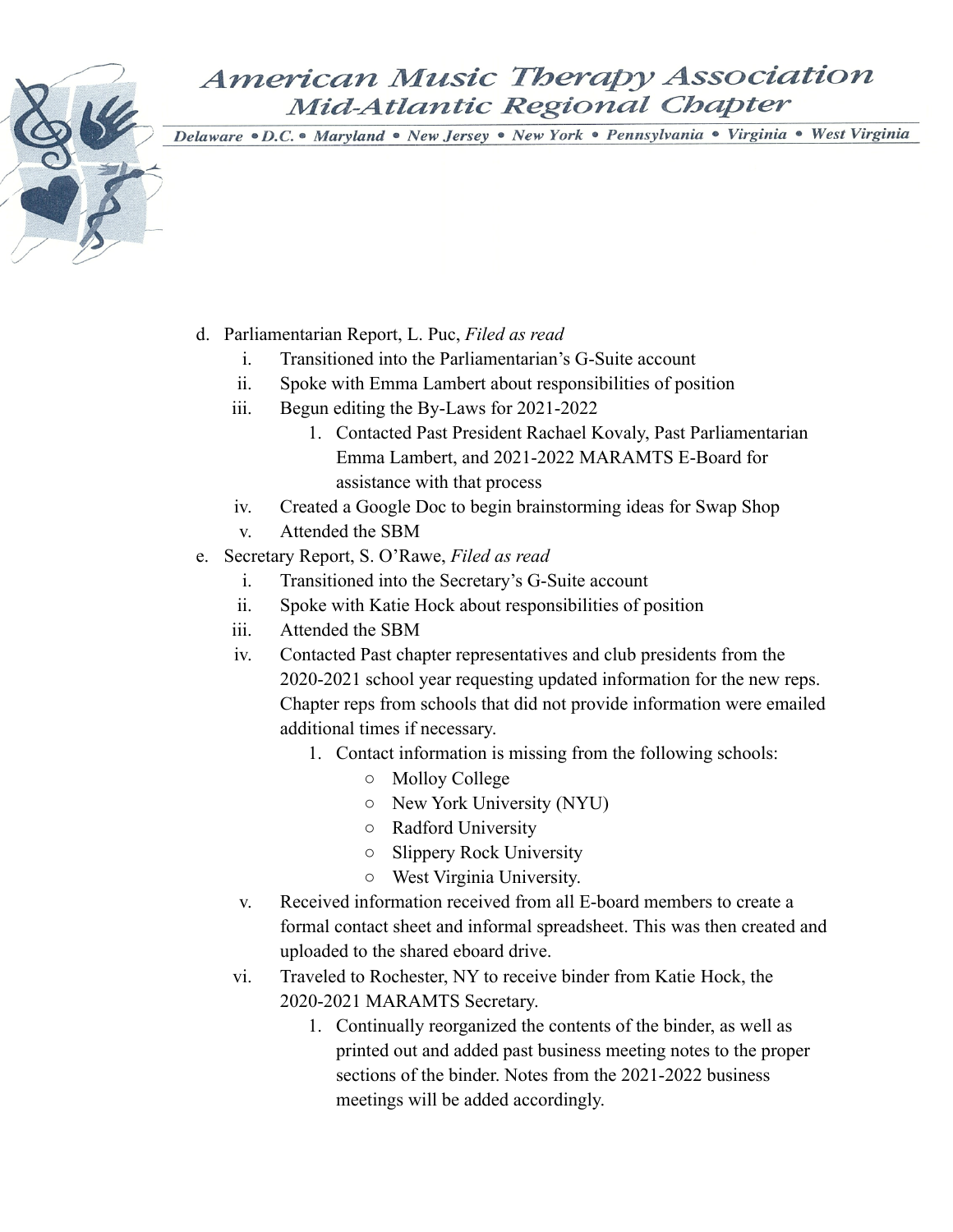- d. Parliamentarian Report, L. Puc, *Filed as read*
	- i. Transitioned into the Parliamentarian's G-Suite account
	- ii. Spoke with Emma Lambert about responsibilities of position
	- iii. Begun editing the By-Laws for 2021-2022
		- 1. Contacted Past President Rachael Kovaly, Past Parliamentarian Emma Lambert, and 2021-2022 MARAMTS E-Board for assistance with that process
	- iv. Created a Google Doc to begin brainstorming ideas for Swap Shop
	- v. Attended the SBM
- e. Secretary Report, S. O'Rawe, *Filed as read*
	- i. Transitioned into the Secretary's G-Suite account
	- ii. Spoke with Katie Hock about responsibilities of position
	- iii. Attended the SBM
	- iv. Contacted Past chapter representatives and club presidents from the 2020-2021 school year requesting updated information for the new reps. Chapter reps from schools that did not provide information were emailed additional times if necessary.
		- 1. Contact information is missing from the following schools:
			- Molloy College
			- New York University (NYU)
			- Radford University
			- Slippery Rock University
			- West Virginia University.
	- v. Received information received from all E-board members to create a formal contact sheet and informal spreadsheet. This was then created and uploaded to the shared eboard drive.
	- vi. Traveled to Rochester, NY to receive binder from Katie Hock, the 2020-2021 MARAMTS Secretary.
		- 1. Continually reorganized the contents of the binder, as well as printed out and added past business meeting notes to the proper sections of the binder. Notes from the 2021-2022 business meetings will be added accordingly.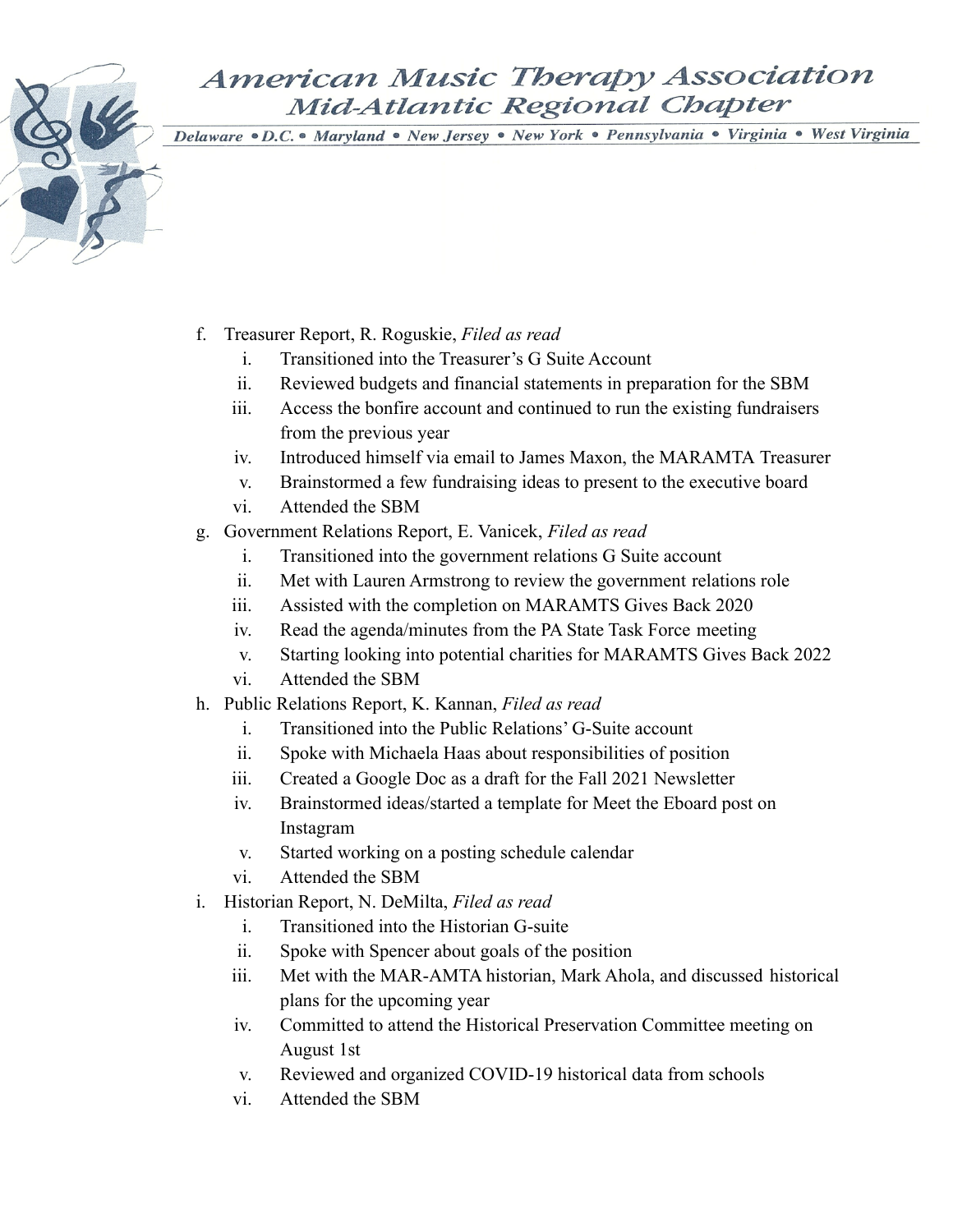- f. Treasurer Report, R. Roguskie, *Filed as read*
	- i. Transitioned into the Treasurer's G Suite Account
	- ii. Reviewed budgets and financial statements in preparation for the SBM
	- iii. Access the bonfire account and continued to run the existing fundraisers from the previous year
	- iv. Introduced himself via email to James Maxon, the MARAMTA Treasurer
	- v. Brainstormed a few fundraising ideas to present to the executive board
	- vi. Attended the SBM
- g. Government Relations Report, E. Vanicek, *Filed as read*
	- i. Transitioned into the government relations G Suite account
	- ii. Met with Lauren Armstrong to review the government relations role
	- iii. Assisted with the completion on MARAMTS Gives Back 2020
	- iv. Read the agenda/minutes from the PA State Task Force meeting
	- v. Starting looking into potential charities for MARAMTS Gives Back 2022
	- vi. Attended the SBM
- h. Public Relations Report, K. Kannan, *Filed as read*
	- i. Transitioned into the Public Relations' G-Suite account
	- ii. Spoke with Michaela Haas about responsibilities of position
	- iii. Created a Google Doc as a draft for the Fall 2021 Newsletter
	- iv. Brainstormed ideas/started a template for Meet the Eboard post on Instagram
	- v. Started working on a posting schedule calendar
	- vi. Attended the SBM
- i. Historian Report, N. DeMilta, *Filed as read*
	- i. Transitioned into the Historian G-suite
	- ii. Spoke with Spencer about goals of the position
	- iii. Met with the MAR-AMTA historian, Mark Ahola, and discussed historical plans for the upcoming year
	- iv. Committed to attend the Historical Preservation Committee meeting on August 1st
	- v. Reviewed and organized COVID-19 historical data from schools
	- vi. Attended the SBM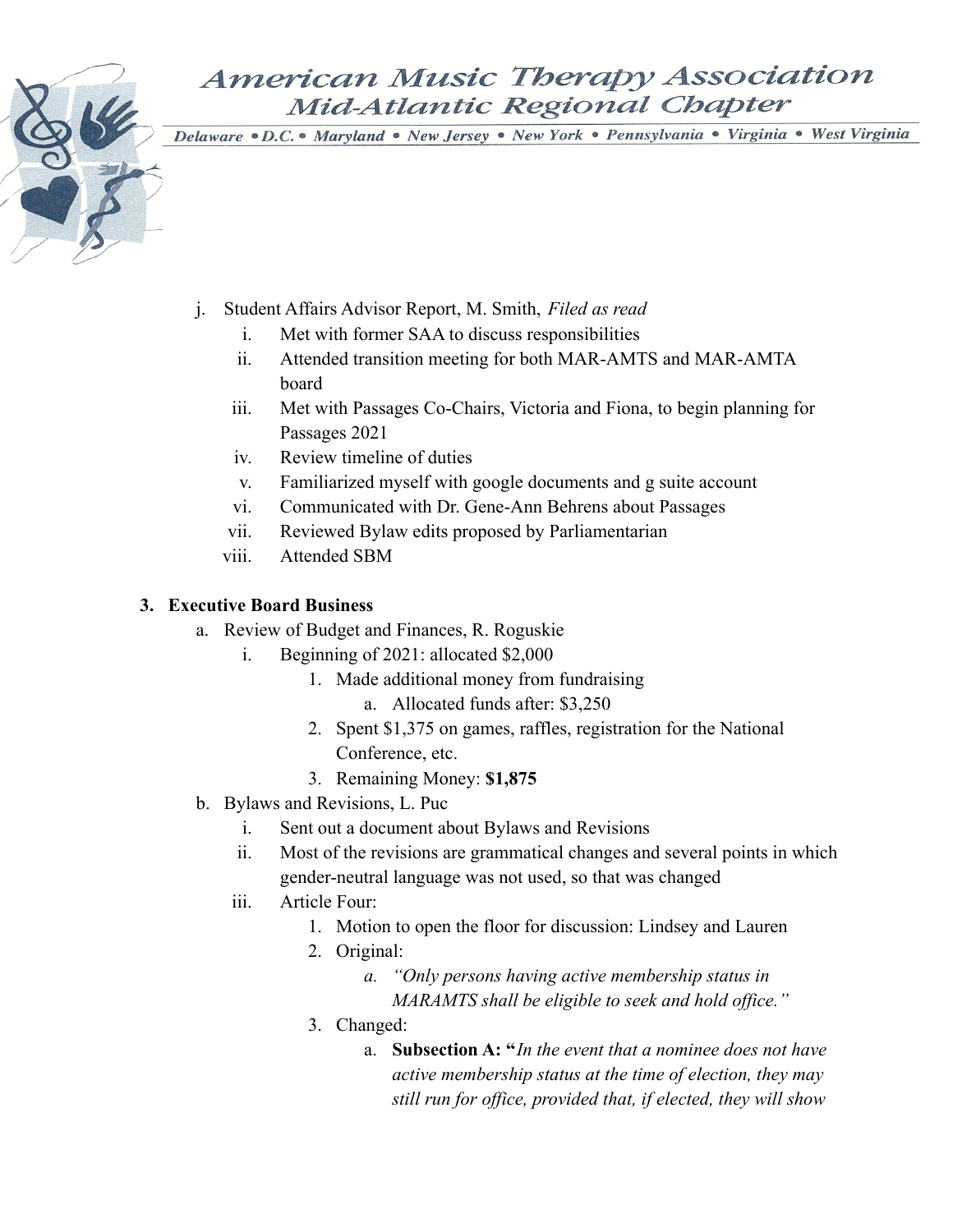Delaware · D.C. • Maryland · New Jersey · New York · Pennsylvania · Virginia · West Virginia

- j. Student Affairs Advisor Report, M. Smith, *Filed as read*
	- i. Met with former SAA to discuss responsibilities
	- ii. Attended transition meeting for both MAR-AMTS and MAR-AMTA board
	- iii. Met with Passages Co-Chairs, Victoria and Fiona, to begin planning for Passages 2021
	- iv. Review timeline of duties
	- v. Familiarized myself with google documents and g suite account
	- vi. Communicated with Dr. Gene-Ann Behrens about Passages
	- vii. Reviewed Bylaw edits proposed by Parliamentarian
	- viii. Attended SBM

### **3. Executive Board Business**

- a. Review of Budget and Finances, R. Roguskie
	- i. Beginning of 2021: allocated \$2,000
		- 1. Made additional money from fundraising
			- a. Allocated funds after: \$3,250
		- 2. Spent \$1,375 on games, raffles, registration for the National Conference, etc.
		- 3. Remaining Money: **\$1,875**
- b. Bylaws and Revisions, L. Puc
	- i. Sent out a document about Bylaws and Revisions
	- ii. Most of the revisions are grammatical changes and several points in which gender-neutral language was not used, so that was changed
	- iii. Article Four:
		- 1. Motion to open the floor for discussion: Lindsey and Lauren
		- 2. Original:
			- *a. "Only persons having active membership status in MARAMTS shall be eligible to seek and hold office."*
		- 3. Changed:
			- a. **Subsection A: "***In the event that a nominee does not have active membership status at the time of election, they may still run for office, provided that, if elected, they will show*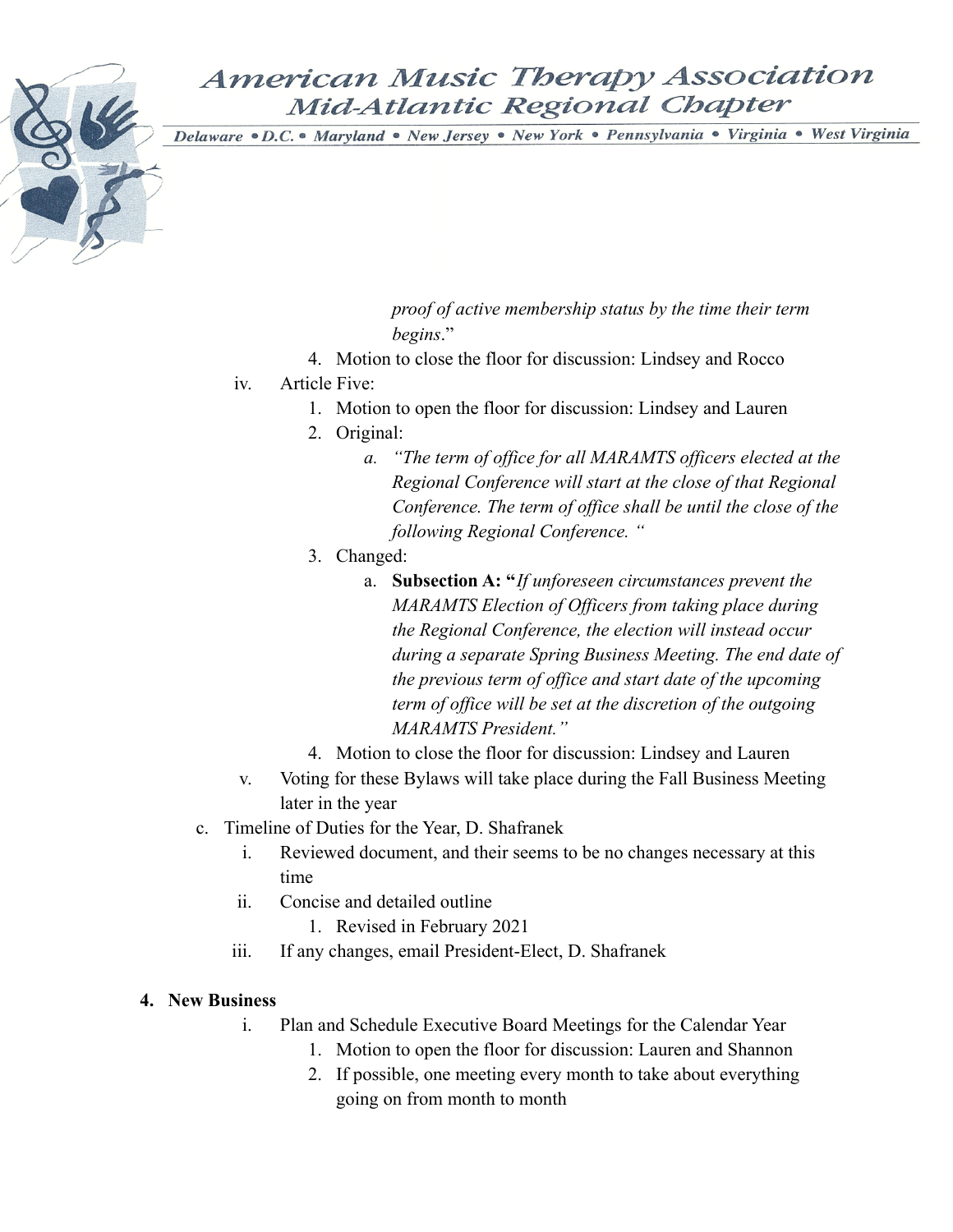Delaware · D.C. • Maryland · New Jersey · New York · Pennsylvania · Virginia · West Virginia

*proof of active membership status by the time their term begins*."

- 4. Motion to close the floor for discussion: Lindsey and Rocco
- iv. Article Five:
	- 1. Motion to open the floor for discussion: Lindsey and Lauren
	- 2. Original:
		- *a. "The term of office for all MARAMTS officers elected at the Regional Conference will start at the close of that Regional Conference. The term of office shall be until the close of the following Regional Conference. "*
	- 3. Changed:
		- a. **Subsection A: "***If unforeseen circumstances prevent the MARAMTS Election of Officers from taking place during the Regional Conference, the election will instead occur during a separate Spring Business Meeting. The end date of the previous term of office and start date of the upcoming term of office will be set at the discretion of the outgoing MARAMTS President."*
	- 4. Motion to close the floor for discussion: Lindsey and Lauren
- v. Voting for these Bylaws will take place during the Fall Business Meeting later in the year
- c. Timeline of Duties for the Year, D. Shafranek
	- i. Reviewed document, and their seems to be no changes necessary at this time
	- ii. Concise and detailed outline
		- 1. Revised in February 2021
	- iii. If any changes, email President-Elect, D. Shafranek

### **4. New Business**

- i. Plan and Schedule Executive Board Meetings for the Calendar Year
	- 1. Motion to open the floor for discussion: Lauren and Shannon
	- 2. If possible, one meeting every month to take about everything going on from month to month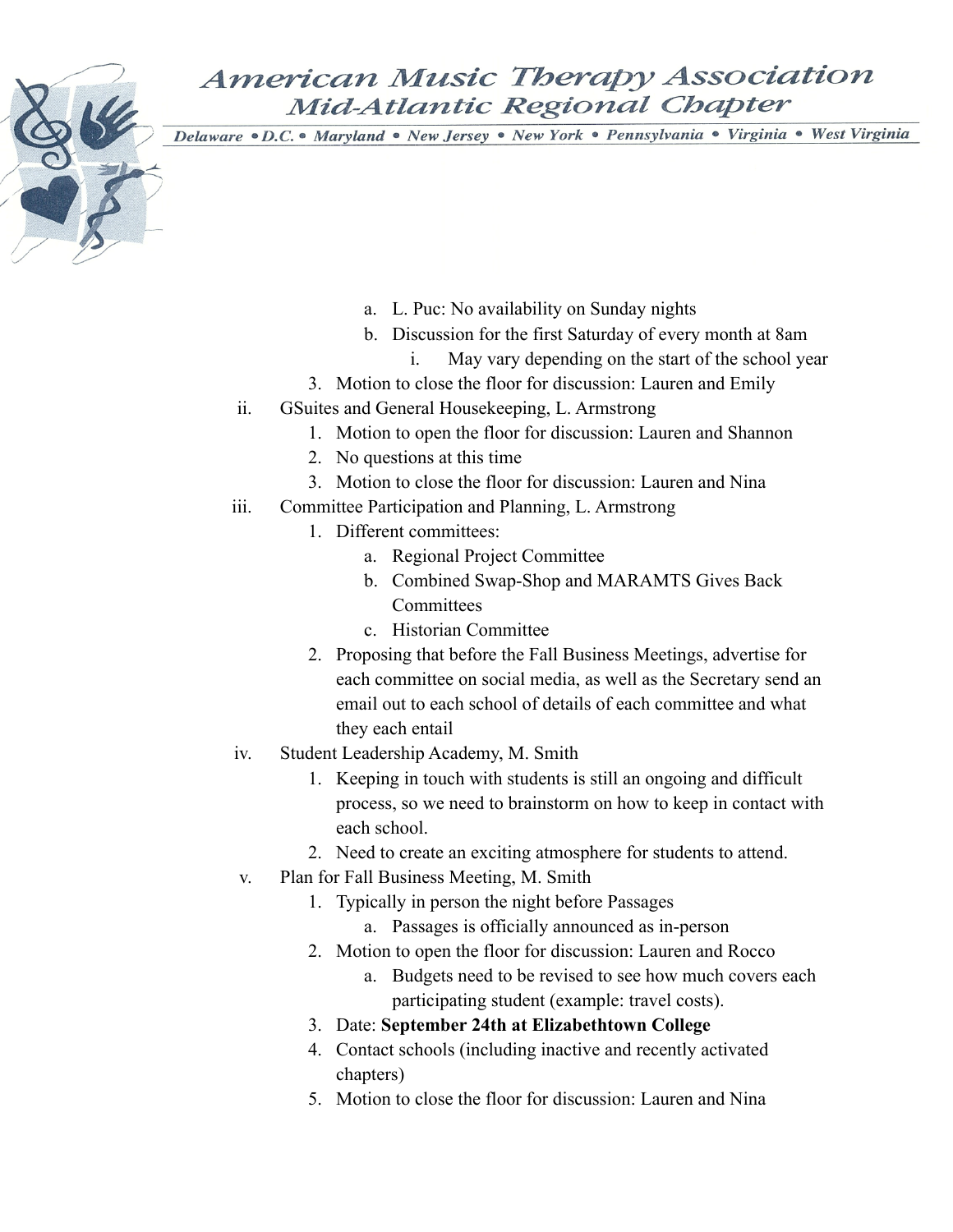- a. L. Puc: No availability on Sunday nights
- b. Discussion for the first Saturday of every month at 8am
	- i. May vary depending on the start of the school year
- 3. Motion to close the floor for discussion: Lauren and Emily
- ii. GSuites and General Housekeeping, L. Armstrong
	- 1. Motion to open the floor for discussion: Lauren and Shannon
	- 2. No questions at this time
	- 3. Motion to close the floor for discussion: Lauren and Nina
- iii. Committee Participation and Planning, L. Armstrong
	- 1. Different committees:
		- a. Regional Project Committee
		- b. Combined Swap-Shop and MARAMTS Gives Back **Committees**
		- c. Historian Committee
	- 2. Proposing that before the Fall Business Meetings, advertise for each committee on social media, as well as the Secretary send an email out to each school of details of each committee and what they each entail
- iv. Student Leadership Academy, M. Smith
	- 1. Keeping in touch with students is still an ongoing and difficult process, so we need to brainstorm on how to keep in contact with each school.
	- 2. Need to create an exciting atmosphere for students to attend.
- v. Plan for Fall Business Meeting, M. Smith
	- 1. Typically in person the night before Passages
		- a. Passages is officially announced as in-person
	- 2. Motion to open the floor for discussion: Lauren and Rocco
		- a. Budgets need to be revised to see how much covers each participating student (example: travel costs).
	- 3. Date: **September 24th at Elizabethtown College**
	- 4. Contact schools (including inactive and recently activated chapters)
	- 5. Motion to close the floor for discussion: Lauren and Nina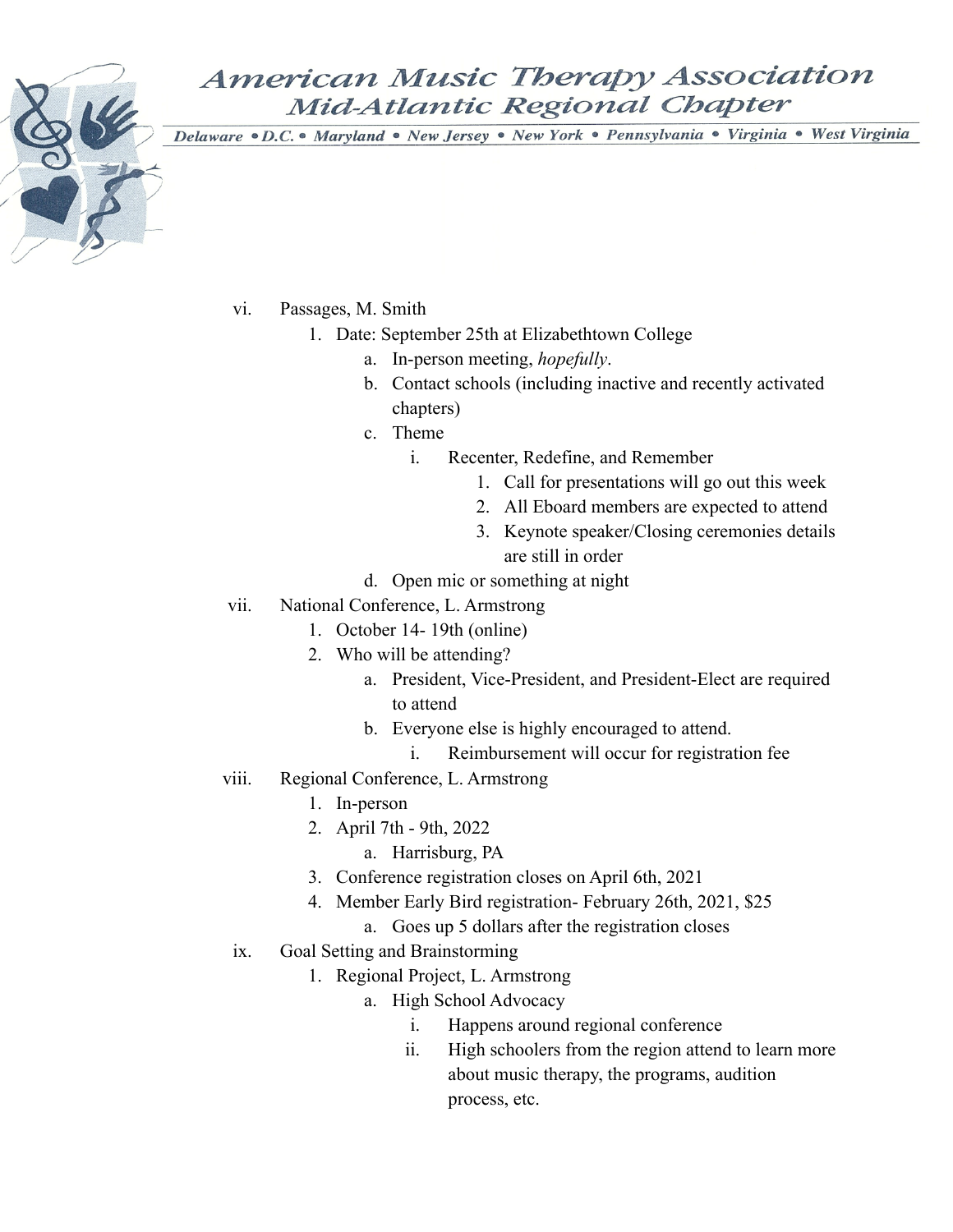- vi. Passages, M. Smith
	- 1. Date: September 25th at Elizabethtown College
		- a. In-person meeting, *hopefully*.
		- b. Contact schools (including inactive and recently activated chapters)
		- c. Theme
			- i. Recenter, Redefine, and Remember
				- 1. Call for presentations will go out this week
				- 2. All Eboard members are expected to attend
				- 3. Keynote speaker/Closing ceremonies details are still in order
		- d. Open mic or something at night
- vii. National Conference, L. Armstrong
	- 1. October 14- 19th (online)
	- 2. Who will be attending?
		- a. President, Vice-President, and President-Elect are required to attend
		- b. Everyone else is highly encouraged to attend.
			- i. Reimbursement will occur for registration fee
- viii. Regional Conference, L. Armstrong
	- 1. In-person
	- 2. April 7th 9th, 2022
		- a. Harrisburg, PA
	- 3. Conference registration closes on April 6th, 2021
	- 4. Member Early Bird registration- February 26th, 2021, \$25
		- a. Goes up 5 dollars after the registration closes
	- ix. Goal Setting and Brainstorming
		- 1. Regional Project, L. Armstrong
			- a. High School Advocacy
				- i. Happens around regional conference
				- ii. High schoolers from the region attend to learn more about music therapy, the programs, audition process, etc.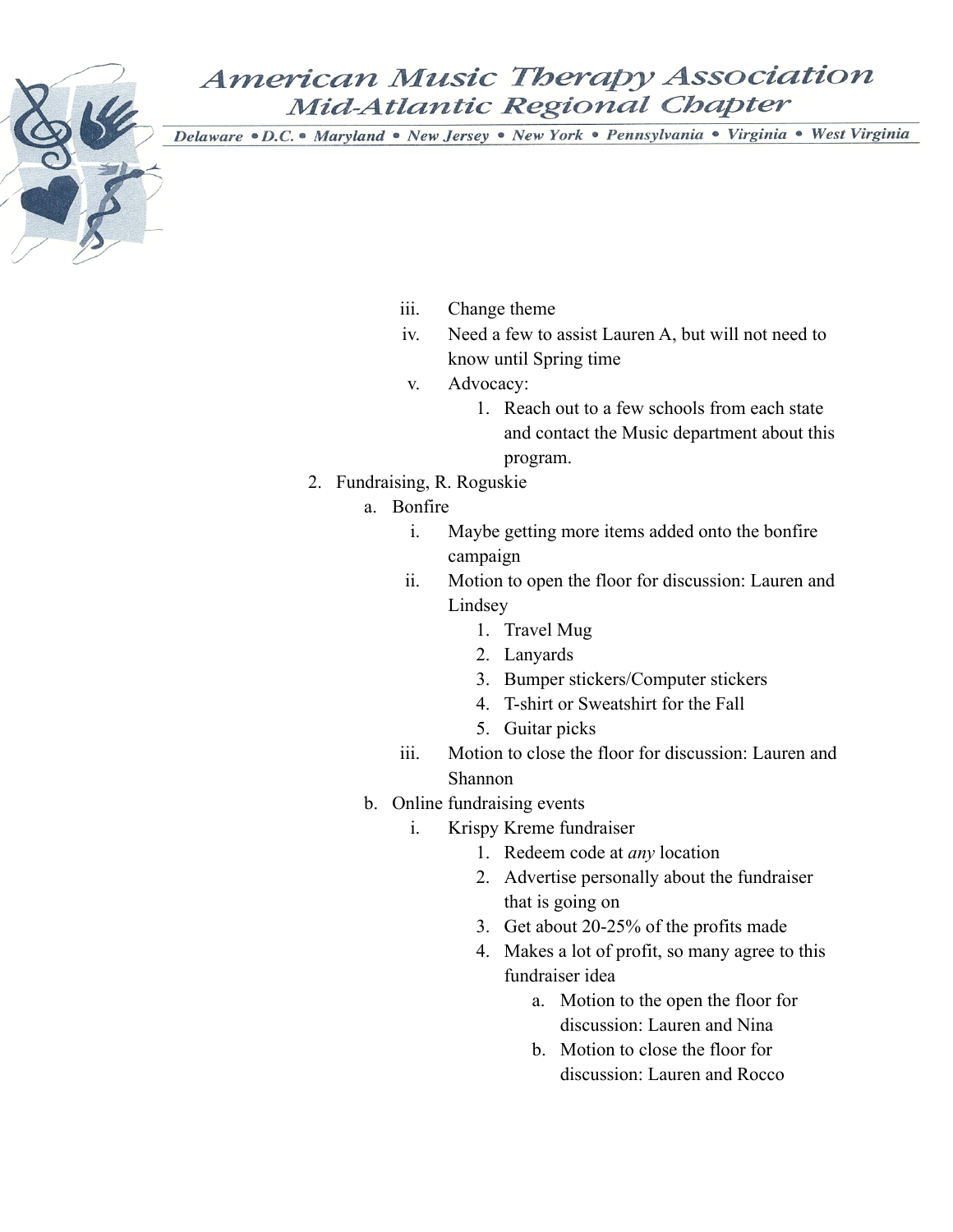- iii. Change theme
- iv. Need a few to assist Lauren A, but will not need to know until Spring time
- v. Advocacy:
	- 1. Reach out to a few schools from each state and contact the Music department about this program.
- 2. Fundraising, R. Roguskie
	- a. Bonfire
		- i. Maybe getting more items added onto the bonfire campaign
		- ii. Motion to open the floor for discussion: Lauren and Lindsey
			- 1. Travel Mug
			- 2. Lanyards
			- 3. Bumper stickers/Computer stickers
			- 4. T-shirt or Sweatshirt for the Fall
			- 5. Guitar picks
		- iii. Motion to close the floor for discussion: Lauren and Shannon
	- b. Online fundraising events
		- i. Krispy Kreme fundraiser
			- 1. Redeem code at *any* location
			- 2. Advertise personally about the fundraiser that is going on
			- 3. Get about 20-25% of the profits made
			- 4. Makes a lot of profit, so many agree to this fundraiser idea
				- a. Motion to the open the floor for discussion: Lauren and Nina
				- b. Motion to close the floor for discussion: Lauren and Rocco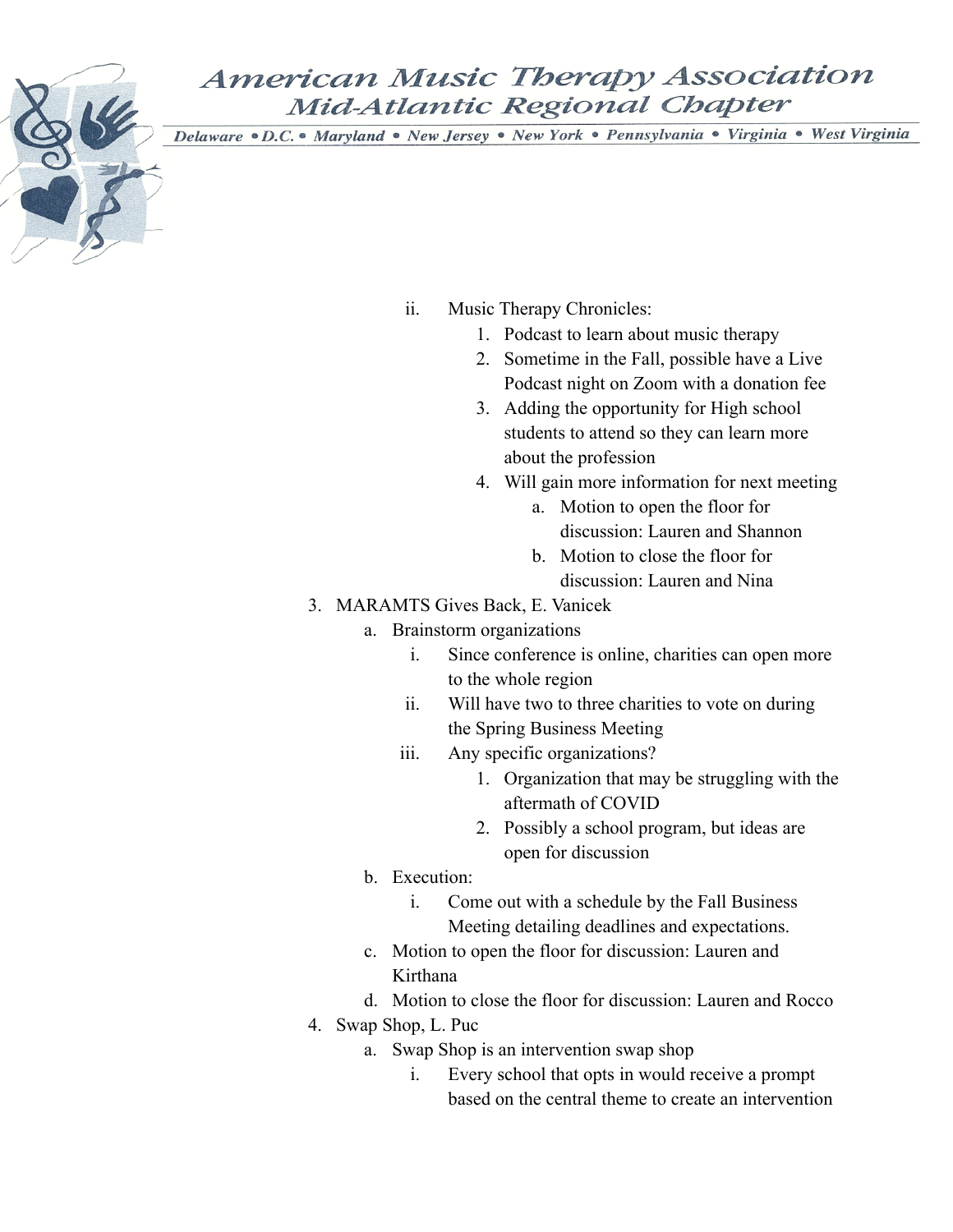- ii. Music Therapy Chronicles:
	- 1. Podcast to learn about music therapy
	- 2. Sometime in the Fall, possible have a Live Podcast night on Zoom with a donation fee
	- 3. Adding the opportunity for High school students to attend so they can learn more about the profession
	- 4. Will gain more information for next meeting
		- a. Motion to open the floor for discussion: Lauren and Shannon
		- b. Motion to close the floor for discussion: Lauren and Nina
- 3. MARAMTS Gives Back, E. Vanicek
	- a. Brainstorm organizations
		- i. Since conference is online, charities can open more to the whole region
		- ii. Will have two to three charities to vote on during the Spring Business Meeting
		- iii. Any specific organizations?
			- 1. Organization that may be struggling with the aftermath of COVID
			- 2. Possibly a school program, but ideas are open for discussion
	- b. Execution:
		- i. Come out with a schedule by the Fall Business Meeting detailing deadlines and expectations.
	- c. Motion to open the floor for discussion: Lauren and Kirthana
	- d. Motion to close the floor for discussion: Lauren and Rocco
- 4. Swap Shop, L. Puc
	- a. Swap Shop is an intervention swap shop
		- i. Every school that opts in would receive a prompt based on the central theme to create an intervention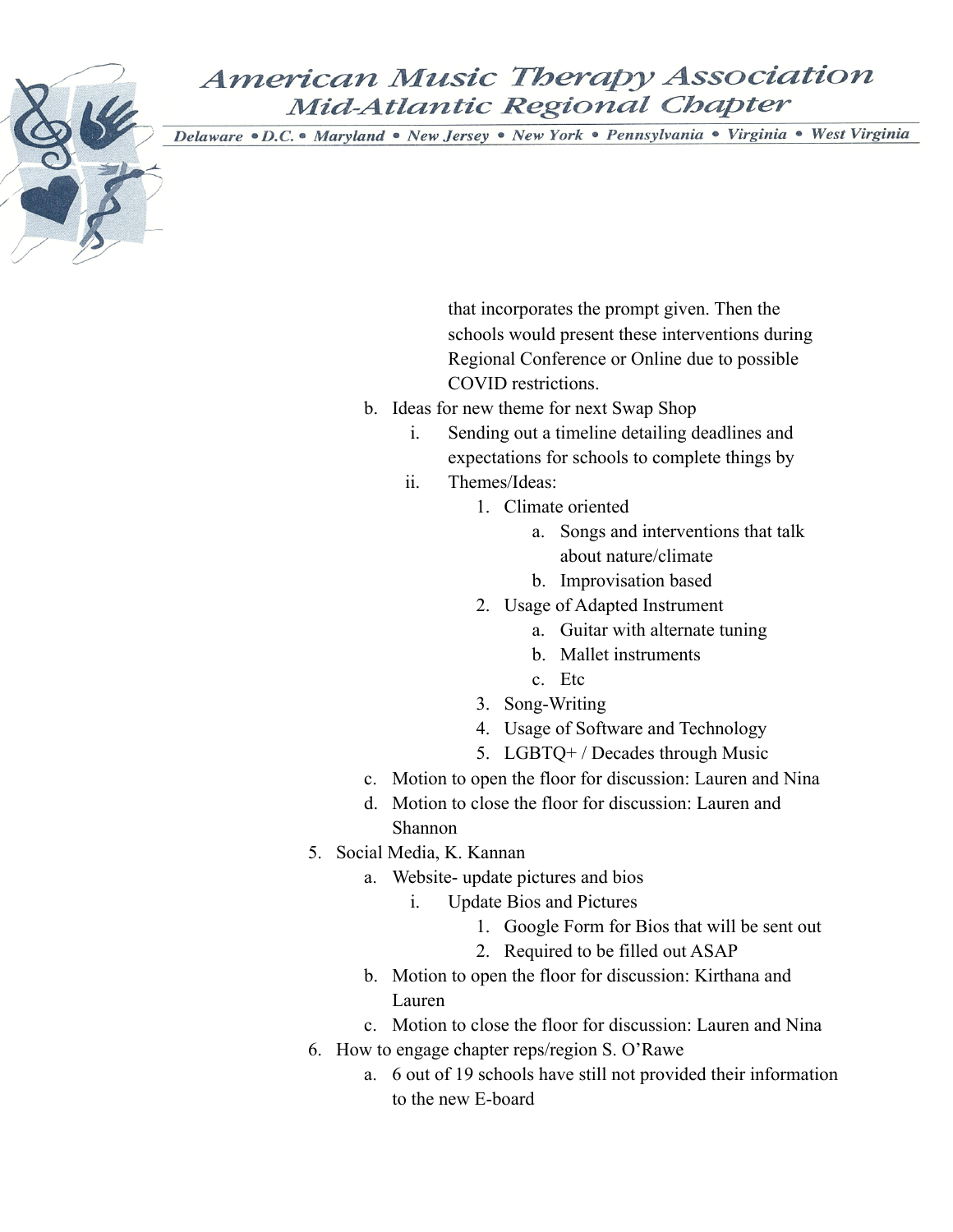Delaware · D.C. • Maryland · New Jersey · New York · Pennsylvania · Virginia · West Virginia

that incorporates the prompt given. Then the schools would present these interventions during Regional Conference or Online due to possible COVID restrictions.

- b. Ideas for new theme for next Swap Shop
	- i. Sending out a timeline detailing deadlines and expectations for schools to complete things by
	- ii. Themes/Ideas:
		- 1. Climate oriented
			- a. Songs and interventions that talk about nature/climate
			- b. Improvisation based
		- 2. Usage of Adapted Instrument
			- a. Guitar with alternate tuning
			- b. Mallet instruments
			- c. Etc
		- 3. Song-Writing
		- 4. Usage of Software and Technology
		- 5. LGBTQ+ / Decades through Music
- c. Motion to open the floor for discussion: Lauren and Nina
- d. Motion to close the floor for discussion: Lauren and Shannon
- 5. Social Media, K. Kannan
	- a. Website- update pictures and bios
		- i. Update Bios and Pictures
			- 1. Google Form for Bios that will be sent out
			- 2. Required to be filled out ASAP
	- b. Motion to open the floor for discussion: Kirthana and Lauren
	- c. Motion to close the floor for discussion: Lauren and Nina
- 6. How to engage chapter reps/region S. O'Rawe
	- a. 6 out of 19 schools have still not provided their information to the new E-board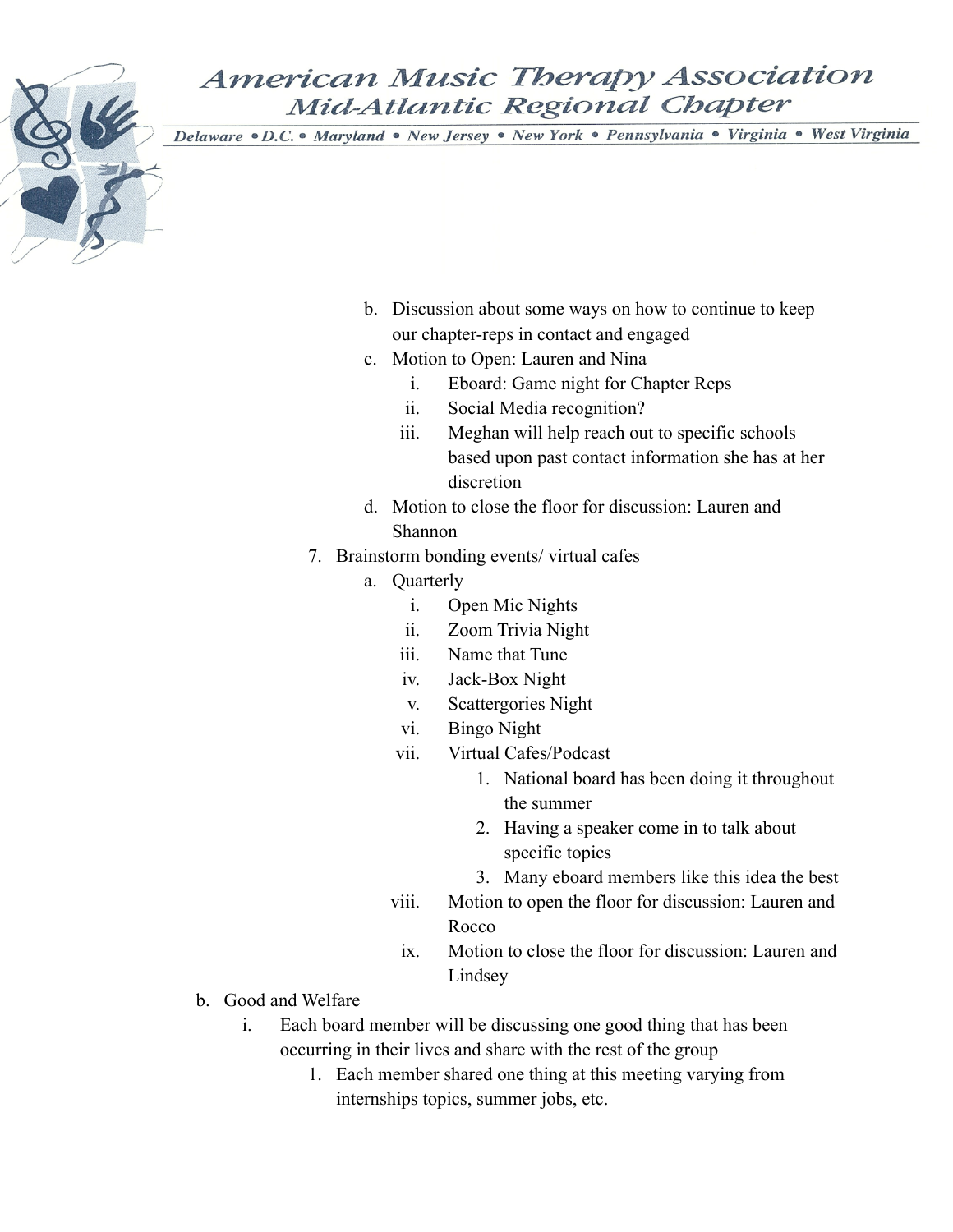- b. Discussion about some ways on how to continue to keep our chapter-reps in contact and engaged
- c. Motion to Open: Lauren and Nina
	- i. Eboard: Game night for Chapter Reps
	- ii. Social Media recognition?
	- iii. Meghan will help reach out to specific schools based upon past contact information she has at her discretion
- d. Motion to close the floor for discussion: Lauren and Shannon
- 7. Brainstorm bonding events/ virtual cafes
	- a. Quarterly
		- i. Open Mic Nights
		- ii. Zoom Trivia Night
		- iii. Name that Tune
		- iv. Jack-Box Night
		- v. Scattergories Night
		- vi. Bingo Night
		- vii. Virtual Cafes/Podcast
			- 1. National board has been doing it throughout the summer
			- 2. Having a speaker come in to talk about specific topics
			- 3. Many eboard members like this idea the best
		- viii. Motion to open the floor for discussion: Lauren and Rocco
		- ix. Motion to close the floor for discussion: Lauren and Lindsey
- b. Good and Welfare
	- i. Each board member will be discussing one good thing that has been occurring in their lives and share with the rest of the group
		- 1. Each member shared one thing at this meeting varying from internships topics, summer jobs, etc.